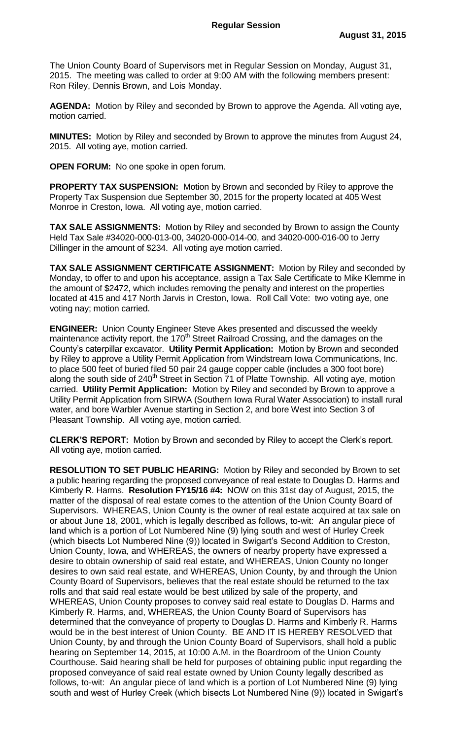The Union County Board of Supervisors met in Regular Session on Monday, August 31, 2015. The meeting was called to order at 9:00 AM with the following members present: Ron Riley, Dennis Brown, and Lois Monday.

**AGENDA:** Motion by Riley and seconded by Brown to approve the Agenda. All voting aye, motion carried.

**MINUTES:** Motion by Riley and seconded by Brown to approve the minutes from August 24, 2015. All voting aye, motion carried.

**OPEN FORUM:** No one spoke in open forum.

**PROPERTY TAX SUSPENSION:** Motion by Brown and seconded by Riley to approve the Property Tax Suspension due September 30, 2015 for the property located at 405 West Monroe in Creston, Iowa. All voting aye, motion carried.

**TAX SALE ASSIGNMENTS:** Motion by Riley and seconded by Brown to assign the County Held Tax Sale #34020-000-013-00, 34020-000-014-00, and 34020-000-016-00 to Jerry Dillinger in the amount of \$234. All voting aye motion carried.

**TAX SALE ASSIGNMENT CERTIFICATE ASSIGNMENT:** Motion by Riley and seconded by Monday, to offer to and upon his acceptance, assign a Tax Sale Certificate to Mike Klemme in the amount of \$2472, which includes removing the penalty and interest on the properties located at 415 and 417 North Jarvis in Creston, Iowa. Roll Call Vote: two voting aye, one voting nay; motion carried.

**ENGINEER:** Union County Engineer Steve Akes presented and discussed the weekly maintenance activity report, the 170<sup>th</sup> Street Railroad Crossing, and the damages on the County's caterpillar excavator. **Utility Permit Application:** Motion by Brown and seconded by Riley to approve a Utility Permit Application from Windstream Iowa Communications, Inc. to place 500 feet of buried filed 50 pair 24 gauge copper cable (includes a 300 foot bore) along the south side of  $240<sup>th</sup>$  Street in Section 71 of Platte Township. All voting aye, motion carried. **Utility Permit Application:** Motion by Riley and seconded by Brown to approve a Utility Permit Application from SIRWA (Southern Iowa Rural Water Association) to install rural water, and bore Warbler Avenue starting in Section 2, and bore West into Section 3 of Pleasant Township. All voting aye, motion carried.

**CLERK'S REPORT:** Motion by Brown and seconded by Riley to accept the Clerk's report. All voting aye, motion carried.

**RESOLUTION TO SET PUBLIC HEARING:** Motion by Riley and seconded by Brown to set a public hearing regarding the proposed conveyance of real estate to Douglas D. Harms and Kimberly R. Harms. **Resolution FY15/16 #4:** NOW on this 31st day of August, 2015, the matter of the disposal of real estate comes to the attention of the Union County Board of Supervisors. WHEREAS, Union County is the owner of real estate acquired at tax sale on or about June 18, 2001, which is legally described as follows, to-wit: An angular piece of land which is a portion of Lot Numbered Nine (9) lying south and west of Hurley Creek (which bisects Lot Numbered Nine (9)) located in Swigart's Second Addition to Creston, Union County, Iowa, and WHEREAS, the owners of nearby property have expressed a desire to obtain ownership of said real estate, and WHEREAS, Union County no longer desires to own said real estate, and WHEREAS, Union County, by and through the Union County Board of Supervisors, believes that the real estate should be returned to the tax rolls and that said real estate would be best utilized by sale of the property, and WHEREAS, Union County proposes to convey said real estate to Douglas D. Harms and Kimberly R. Harms, and, WHEREAS, the Union County Board of Supervisors has determined that the conveyance of property to Douglas D. Harms and Kimberly R. Harms would be in the best interest of Union County. BE AND IT IS HEREBY RESOLVED that Union County, by and through the Union County Board of Supervisors, shall hold a public hearing on September 14, 2015, at 10:00 A.M. in the Boardroom of the Union County Courthouse. Said hearing shall be held for purposes of obtaining public input regarding the proposed conveyance of said real estate owned by Union County legally described as follows, to-wit: An angular piece of land which is a portion of Lot Numbered Nine (9) lying south and west of Hurley Creek (which bisects Lot Numbered Nine (9)) located in Swigart's